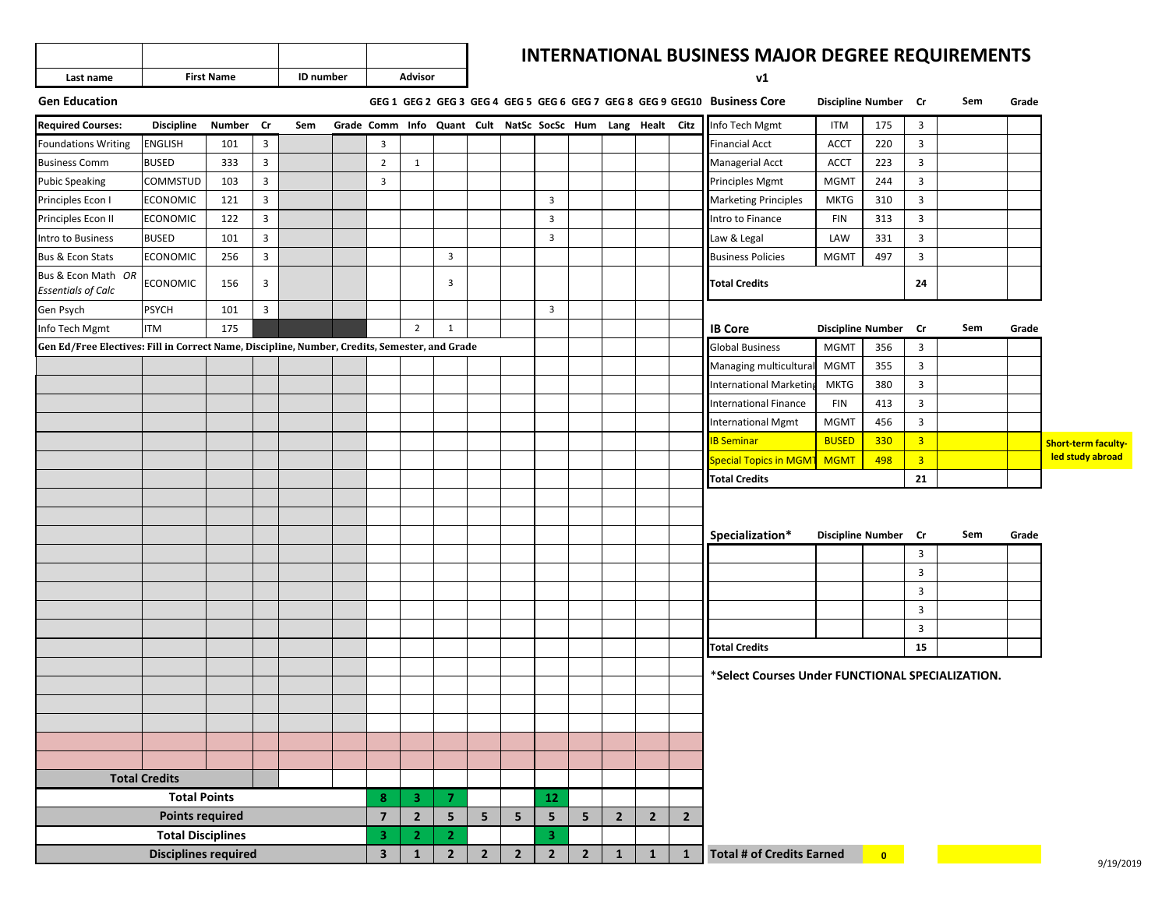|           |                   |                  |         | <b>INTERNATIONAL BUSINESS M</b> |
|-----------|-------------------|------------------|---------|---------------------------------|
| Last name | <b>First Name</b> | <b>ID</b> number | Advisor | ٧ï                              |

## **INTERNATIONAL BUSINESS MAJOR DEGREE REQUIREMENTS**

 $v1$ 

| <b>Gen Education</b>                                                                          |                             |        |                |     |                         |                |                         |                |                |                         |                |                |                                                            |                | GEG 1 GEG 2 GEG 3 GEG 4 GEG 5 GEG 6 GEG 7 GEG 8 GEG 9 GEG10 Business Core | Discipline Number Cr     |           |                         | Sem | Grade |                            |
|-----------------------------------------------------------------------------------------------|-----------------------------|--------|----------------|-----|-------------------------|----------------|-------------------------|----------------|----------------|-------------------------|----------------|----------------|------------------------------------------------------------|----------------|---------------------------------------------------------------------------|--------------------------|-----------|-------------------------|-----|-------|----------------------------|
| <b>Required Courses:</b>                                                                      | <b>Discipline</b>           | Number | Cr             | Sem |                         |                |                         |                |                |                         |                |                | Grade Comm Info Quant Cult NatSc SocSc Hum Lang Healt Citz |                | Info Tech Mgmt                                                            | <b>ITM</b>               | 175       | $\overline{\mathbf{3}}$ |     |       |                            |
| <b>Foundations Writing</b>                                                                    | <b>ENGLISH</b>              | 101    | 3              |     | 3                       |                |                         |                |                |                         |                |                |                                                            |                | <b>Financial Acct</b>                                                     | <b>ACCT</b>              | 220       | $\overline{3}$          |     |       |                            |
| <b>Business Comm</b>                                                                          | <b>BUSED</b>                | 333    | $\mathbf{3}$   |     | $\overline{2}$          | $\mathbf{1}$   |                         |                |                |                         |                |                |                                                            |                | Managerial Acct                                                           | <b>ACCT</b>              | 223       | $\overline{3}$          |     |       |                            |
| <b>Pubic Speaking</b>                                                                         | COMMSTUD                    | 103    | $\overline{3}$ |     | $\overline{3}$          |                |                         |                |                |                         |                |                |                                                            |                | Principles Mgmt                                                           | <b>MGMT</b>              | 244       | $\overline{3}$          |     |       |                            |
| Principles Econ I                                                                             | <b>ECONOMIC</b>             | 121    | 3              |     |                         |                |                         |                |                | $\overline{3}$          |                |                |                                                            |                | <b>Marketing Principles</b>                                               | <b>MKTG</b>              | 310       | $\overline{3}$          |     |       |                            |
| Principles Econ II                                                                            | <b>ECONOMIC</b>             | 122    | $\overline{3}$ |     |                         |                |                         |                |                | $\overline{3}$          |                |                |                                                            |                | Intro to Finance                                                          | <b>FIN</b>               | 313       | $\overline{3}$          |     |       |                            |
| Intro to Business                                                                             | <b>BUSED</b>                | 101    | $\overline{3}$ |     |                         |                |                         |                |                | $\overline{\mathbf{3}}$ |                |                |                                                            |                | Law & Legal                                                               | LAW                      | 331       | $\overline{3}$          |     |       |                            |
| Bus & Econ Stats                                                                              | <b>ECONOMIC</b>             | 256    | $\mathbf{3}$   |     |                         |                | $\overline{\mathbf{3}}$ |                |                |                         |                |                |                                                            |                | <b>Business Policies</b>                                                  | <b>MGMT</b>              | 497       | $\overline{3}$          |     |       |                            |
| Bus & Econ Math OR<br><b>Essentials of Calc</b>                                               | <b>ECONOMIC</b>             | 156    | 3              |     |                         |                | $\overline{3}$          |                |                |                         |                |                |                                                            |                | <b>Total Credits</b>                                                      |                          |           | 24                      |     |       |                            |
| Gen Psych                                                                                     | <b>PSYCH</b>                | 101    | $\overline{3}$ |     |                         |                |                         |                |                | $\overline{3}$          |                |                |                                                            |                |                                                                           |                          |           |                         |     |       |                            |
| Info Tech Mgmt                                                                                | <b>ITM</b>                  | 175    |                |     |                         | $\overline{2}$ | $\mathbf{1}$            |                |                |                         |                |                |                                                            |                | <b>IB Core</b>                                                            | <b>Discipline Number</b> |           | <b>Cr</b>               | Sem | Grade |                            |
| Gen Ed/Free Electives: Fill in Correct Name, Discipline, Number, Credits, Semester, and Grade |                             |        |                |     |                         |                |                         |                |                |                         |                |                |                                                            |                | <b>Global Business</b>                                                    | <b>MGMT</b>              | 356       | $\overline{3}$          |     |       |                            |
|                                                                                               |                             |        |                |     |                         |                |                         |                |                |                         |                |                |                                                            |                | Managing multicultura                                                     | <b>MGMT</b>              | 355       | $\overline{3}$          |     |       |                            |
|                                                                                               |                             |        |                |     |                         |                |                         |                |                |                         |                |                |                                                            |                | <b>International Marketin</b>                                             | <b>MKTG</b>              | 380       | $\overline{3}$          |     |       |                            |
|                                                                                               |                             |        |                |     |                         |                |                         |                |                |                         |                |                |                                                            |                | <b>International Finance</b>                                              | <b>FIN</b>               | 413       | $\overline{3}$          |     |       |                            |
|                                                                                               |                             |        |                |     |                         |                |                         |                |                |                         |                |                |                                                            |                | <b>International Mgmt</b>                                                 | <b>MGMT</b>              | 456       | $\overline{\mathbf{3}}$ |     |       |                            |
|                                                                                               |                             |        |                |     |                         |                |                         |                |                |                         |                |                |                                                            |                | <b>IB Seminar</b>                                                         | <b>BUSED</b>             | 330       | $\overline{\mathbf{3}}$ |     |       | <b>Short-term faculty-</b> |
|                                                                                               |                             |        |                |     |                         |                |                         |                |                |                         |                |                |                                                            |                | Special Topics in MGM                                                     | <b>MGMT</b>              | 498       | $\overline{3}$          |     |       | led study abroad           |
|                                                                                               |                             |        |                |     |                         |                |                         |                |                |                         |                |                |                                                            |                | <b>Total Credits</b>                                                      |                          |           | 21                      |     |       |                            |
|                                                                                               |                             |        |                |     |                         |                |                         |                |                |                         |                |                |                                                            |                |                                                                           |                          |           |                         |     |       |                            |
|                                                                                               |                             |        |                |     |                         |                |                         |                |                |                         |                |                |                                                            |                |                                                                           |                          |           |                         |     |       |                            |
|                                                                                               |                             |        |                |     |                         |                |                         |                |                |                         |                |                |                                                            |                | Specialization*                                                           | Discipline Number Cr     |           |                         | Sem | Grade |                            |
|                                                                                               |                             |        |                |     |                         |                |                         |                |                |                         |                |                |                                                            |                |                                                                           |                          |           | $\overline{3}$          |     |       |                            |
|                                                                                               |                             |        |                |     |                         |                |                         |                |                |                         |                |                |                                                            |                |                                                                           |                          |           | $\overline{3}$          |     |       |                            |
|                                                                                               |                             |        |                |     |                         |                |                         |                |                |                         |                |                |                                                            |                |                                                                           |                          |           | $\overline{3}$          |     |       |                            |
|                                                                                               |                             |        |                |     |                         |                |                         |                |                |                         |                |                |                                                            |                |                                                                           |                          |           | $\overline{3}$          |     |       |                            |
|                                                                                               |                             |        |                |     |                         |                |                         |                |                |                         |                |                |                                                            |                |                                                                           |                          |           | $\overline{3}$          |     |       |                            |
|                                                                                               |                             |        |                |     |                         |                |                         |                |                |                         |                |                |                                                            |                | <b>Total Credits</b>                                                      |                          |           | 15                      |     |       |                            |
|                                                                                               |                             |        |                |     |                         |                |                         |                |                |                         |                |                |                                                            |                | *Select Courses Under FUNCTIONAL SPECIALIZATION.                          |                          |           |                         |     |       |                            |
|                                                                                               |                             |        |                |     |                         |                |                         |                |                |                         |                |                |                                                            |                |                                                                           |                          |           |                         |     |       |                            |
|                                                                                               |                             |        |                |     |                         |                |                         |                |                |                         |                |                |                                                            |                |                                                                           |                          |           |                         |     |       |                            |
|                                                                                               |                             |        |                |     |                         |                |                         |                |                |                         |                |                |                                                            |                |                                                                           |                          |           |                         |     |       |                            |
|                                                                                               |                             |        |                |     |                         |                |                         |                |                |                         |                |                |                                                            |                |                                                                           |                          |           |                         |     |       |                            |
|                                                                                               |                             |        |                |     |                         |                |                         |                |                |                         |                |                |                                                            |                |                                                                           |                          |           |                         |     |       |                            |
|                                                                                               | <b>Total Credits</b>        |        |                |     |                         |                |                         |                |                |                         |                |                |                                                            |                |                                                                           |                          |           |                         |     |       |                            |
|                                                                                               | <b>Total Points</b>         |        |                |     | 8                       | 3              | $\overline{7}$          |                |                | 12                      |                |                |                                                            |                |                                                                           |                          |           |                         |     |       |                            |
|                                                                                               | <b>Points required</b>      |        |                |     | $\overline{7}$          | $\overline{2}$ | 5                       | 5              | 5              | 5                       | 5              | $\overline{2}$ | $\overline{2}$                                             | $\overline{2}$ |                                                                           |                          |           |                         |     |       |                            |
|                                                                                               | <b>Total Disciplines</b>    |        |                |     | 3                       | $\overline{2}$ | $\overline{2}$          |                |                | $\overline{\mathbf{3}}$ |                |                |                                                            |                |                                                                           |                          |           |                         |     |       |                            |
|                                                                                               | <b>Disciplines required</b> |        |                |     | $\overline{\mathbf{3}}$ | $\mathbf{1}$   | $\overline{2}$          | $\overline{2}$ | $\overline{2}$ | $\overline{2}$          | $\overline{2}$ | $\mathbf{1}$   | $\mathbf{1}$                                               | $\mathbf{1}$   | <b>Total # of Credits Earned</b>                                          |                          | $\bullet$ |                         |     |       | 011012                     |